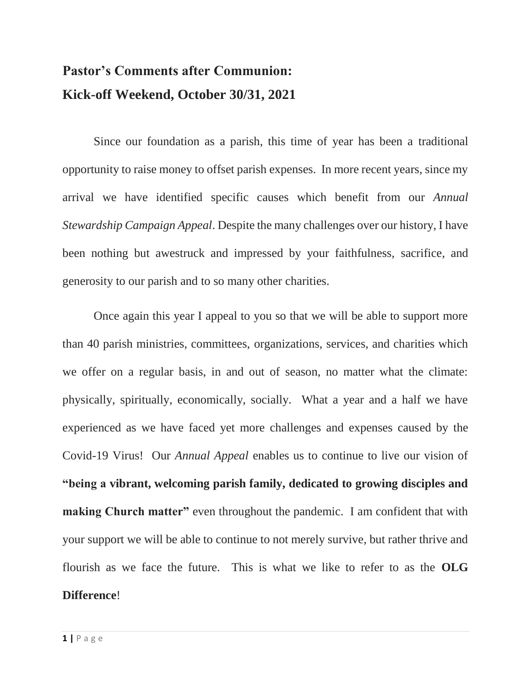## **Pastor's Comments after Communion: Kick-off Weekend, October 30/31, 2021**

Since our foundation as a parish, this time of year has been a traditional opportunity to raise money to offset parish expenses. In more recent years, since my arrival we have identified specific causes which benefit from our *Annual Stewardship Campaign Appeal*. Despite the many challenges over our history, I have been nothing but awestruck and impressed by your faithfulness, sacrifice, and generosity to our parish and to so many other charities.

Once again this year I appeal to you so that we will be able to support more than 40 parish ministries, committees, organizations, services, and charities which we offer on a regular basis, in and out of season, no matter what the climate: physically, spiritually, economically, socially. What a year and a half we have experienced as we have faced yet more challenges and expenses caused by the Covid-19 Virus! Our *Annual Appeal* enables us to continue to live our vision of **"being a vibrant, welcoming parish family, dedicated to growing disciples and making Church matter"** even throughout the pandemic. I am confident that with your support we will be able to continue to not merely survive, but rather thrive and flourish as we face the future. This is what we like to refer to as the **OLG Difference**!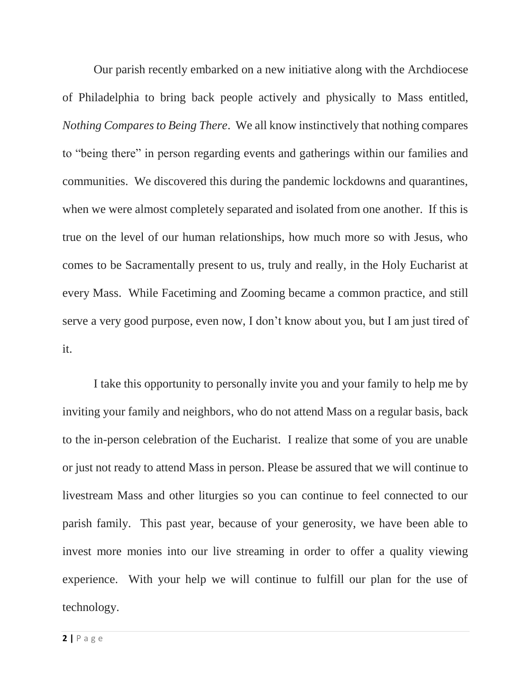Our parish recently embarked on a new initiative along with the Archdiocese of Philadelphia to bring back people actively and physically to Mass entitled, *Nothing Compares to Being There*. We all know instinctively that nothing compares to "being there" in person regarding events and gatherings within our families and communities. We discovered this during the pandemic lockdowns and quarantines, when we were almost completely separated and isolated from one another. If this is true on the level of our human relationships, how much more so with Jesus, who comes to be Sacramentally present to us, truly and really, in the Holy Eucharist at every Mass. While Facetiming and Zooming became a common practice, and still serve a very good purpose, even now, I don't know about you, but I am just tired of it.

I take this opportunity to personally invite you and your family to help me by inviting your family and neighbors, who do not attend Mass on a regular basis, back to the in-person celebration of the Eucharist. I realize that some of you are unable or just not ready to attend Mass in person. Please be assured that we will continue to livestream Mass and other liturgies so you can continue to feel connected to our parish family. This past year, because of your generosity, we have been able to invest more monies into our live streaming in order to offer a quality viewing experience. With your help we will continue to fulfill our plan for the use of technology.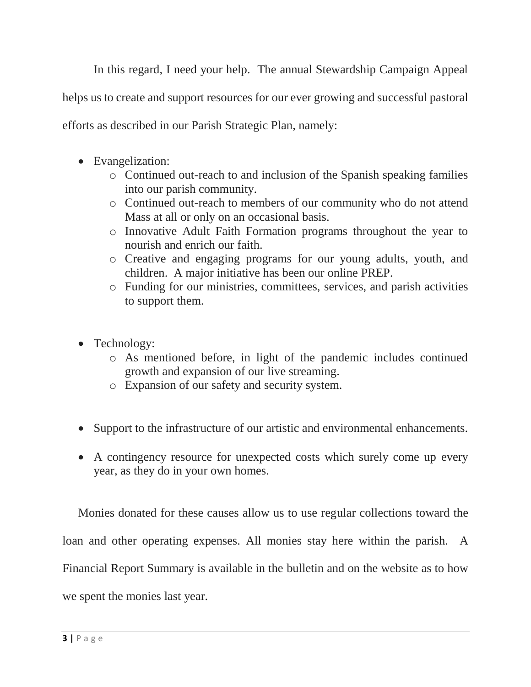In this regard, I need your help. The annual Stewardship Campaign Appeal

helps us to create and support resources for our ever growing and successful pastoral

efforts as described in our Parish Strategic Plan, namely:

- Evangelization:
	- o Continued out-reach to and inclusion of the Spanish speaking families into our parish community.
	- o Continued out-reach to members of our community who do not attend Mass at all or only on an occasional basis.
	- o Innovative Adult Faith Formation programs throughout the year to nourish and enrich our faith.
	- o Creative and engaging programs for our young adults, youth, and children. A major initiative has been our online PREP.
	- o Funding for our ministries, committees, services, and parish activities to support them.
- Technology:
	- o As mentioned before, in light of the pandemic includes continued growth and expansion of our live streaming.
	- o Expansion of our safety and security system.
- Support to the infrastructure of our artistic and environmental enhancements.
- A contingency resource for unexpected costs which surely come up every year, as they do in your own homes.

Monies donated for these causes allow us to use regular collections toward the loan and other operating expenses. All monies stay here within the parish. A Financial Report Summary is available in the bulletin and on the website as to how we spent the monies last year.